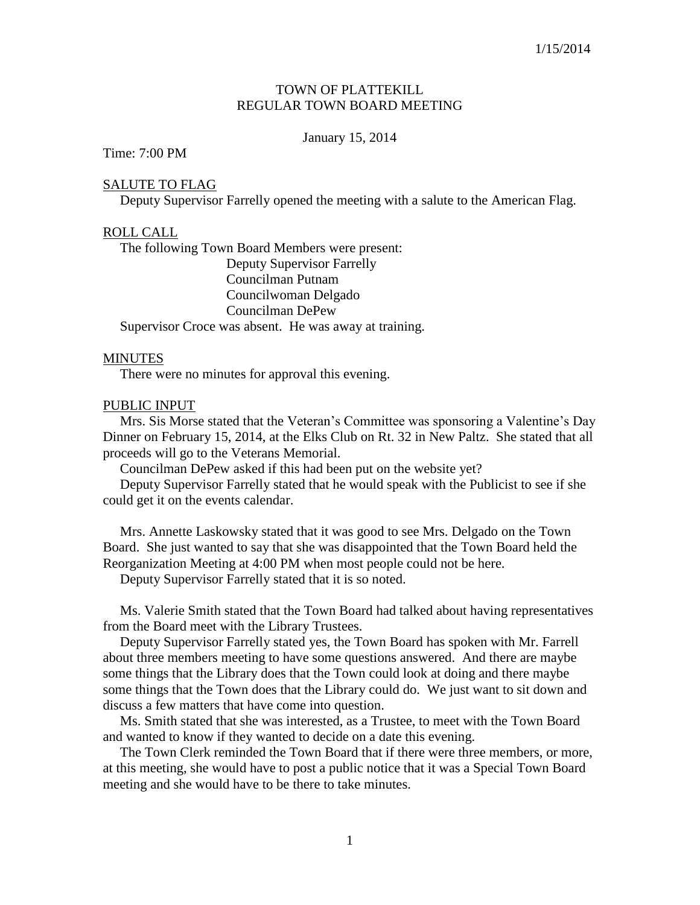# TOWN OF PLATTEKILL REGULAR TOWN BOARD MEETING

### January 15, 2014

## Time: 7:00 PM

### SALUTE TO FLAG

Deputy Supervisor Farrelly opened the meeting with a salute to the American Flag.

### ROLL CALL

 The following Town Board Members were present: Deputy Supervisor Farrelly Councilman Putnam Councilwoman Delgado Councilman DePew Supervisor Croce was absent. He was away at training.

#### **MINUTES**

There were no minutes for approval this evening.

### PUBLIC INPUT

 Mrs. Sis Morse stated that the Veteran's Committee was sponsoring a Valentine's Day Dinner on February 15, 2014, at the Elks Club on Rt. 32 in New Paltz. She stated that all proceeds will go to the Veterans Memorial.

Councilman DePew asked if this had been put on the website yet?

 Deputy Supervisor Farrelly stated that he would speak with the Publicist to see if she could get it on the events calendar.

 Mrs. Annette Laskowsky stated that it was good to see Mrs. Delgado on the Town Board. She just wanted to say that she was disappointed that the Town Board held the Reorganization Meeting at 4:00 PM when most people could not be here.

Deputy Supervisor Farrelly stated that it is so noted.

 Ms. Valerie Smith stated that the Town Board had talked about having representatives from the Board meet with the Library Trustees.

 Deputy Supervisor Farrelly stated yes, the Town Board has spoken with Mr. Farrell about three members meeting to have some questions answered. And there are maybe some things that the Library does that the Town could look at doing and there maybe some things that the Town does that the Library could do. We just want to sit down and discuss a few matters that have come into question.

 Ms. Smith stated that she was interested, as a Trustee, to meet with the Town Board and wanted to know if they wanted to decide on a date this evening.

 The Town Clerk reminded the Town Board that if there were three members, or more, at this meeting, she would have to post a public notice that it was a Special Town Board meeting and she would have to be there to take minutes.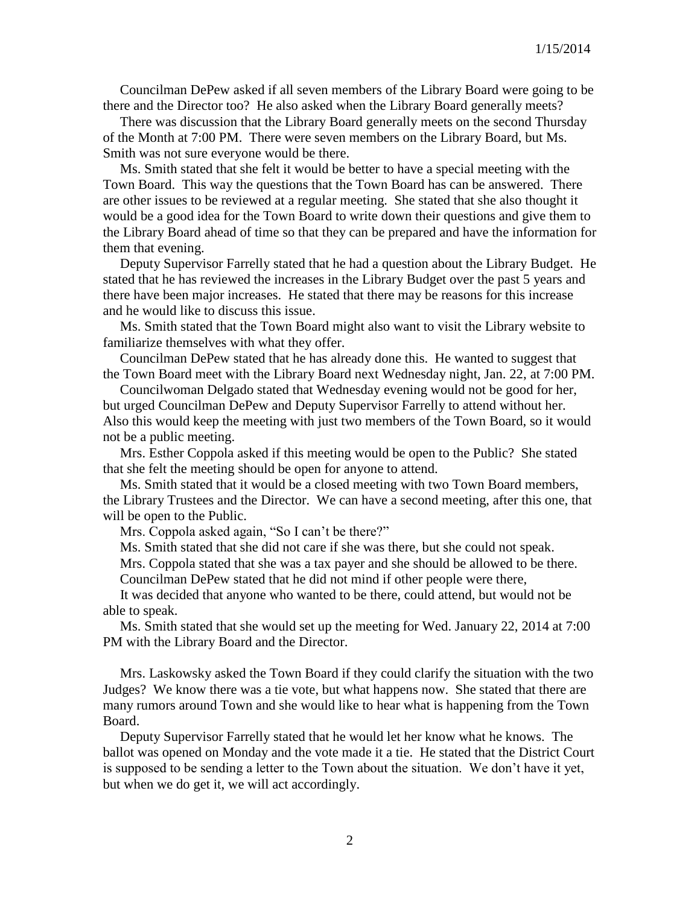Councilman DePew asked if all seven members of the Library Board were going to be there and the Director too? He also asked when the Library Board generally meets?

 There was discussion that the Library Board generally meets on the second Thursday of the Month at 7:00 PM. There were seven members on the Library Board, but Ms. Smith was not sure everyone would be there.

 Ms. Smith stated that she felt it would be better to have a special meeting with the Town Board. This way the questions that the Town Board has can be answered. There are other issues to be reviewed at a regular meeting. She stated that she also thought it would be a good idea for the Town Board to write down their questions and give them to the Library Board ahead of time so that they can be prepared and have the information for them that evening.

 Deputy Supervisor Farrelly stated that he had a question about the Library Budget. He stated that he has reviewed the increases in the Library Budget over the past 5 years and there have been major increases. He stated that there may be reasons for this increase and he would like to discuss this issue.

 Ms. Smith stated that the Town Board might also want to visit the Library website to familiarize themselves with what they offer.

 Councilman DePew stated that he has already done this. He wanted to suggest that the Town Board meet with the Library Board next Wednesday night, Jan. 22, at 7:00 PM.

 Councilwoman Delgado stated that Wednesday evening would not be good for her, but urged Councilman DePew and Deputy Supervisor Farrelly to attend without her. Also this would keep the meeting with just two members of the Town Board, so it would not be a public meeting.

 Mrs. Esther Coppola asked if this meeting would be open to the Public? She stated that she felt the meeting should be open for anyone to attend.

 Ms. Smith stated that it would be a closed meeting with two Town Board members, the Library Trustees and the Director. We can have a second meeting, after this one, that will be open to the Public.

Mrs. Coppola asked again, "So I can't be there?"

Ms. Smith stated that she did not care if she was there, but she could not speak.

 Mrs. Coppola stated that she was a tax payer and she should be allowed to be there. Councilman DePew stated that he did not mind if other people were there,

 It was decided that anyone who wanted to be there, could attend, but would not be able to speak.

 Ms. Smith stated that she would set up the meeting for Wed. January 22, 2014 at 7:00 PM with the Library Board and the Director.

 Mrs. Laskowsky asked the Town Board if they could clarify the situation with the two Judges? We know there was a tie vote, but what happens now. She stated that there are many rumors around Town and she would like to hear what is happening from the Town Board.

 Deputy Supervisor Farrelly stated that he would let her know what he knows. The ballot was opened on Monday and the vote made it a tie. He stated that the District Court is supposed to be sending a letter to the Town about the situation. We don't have it yet, but when we do get it, we will act accordingly.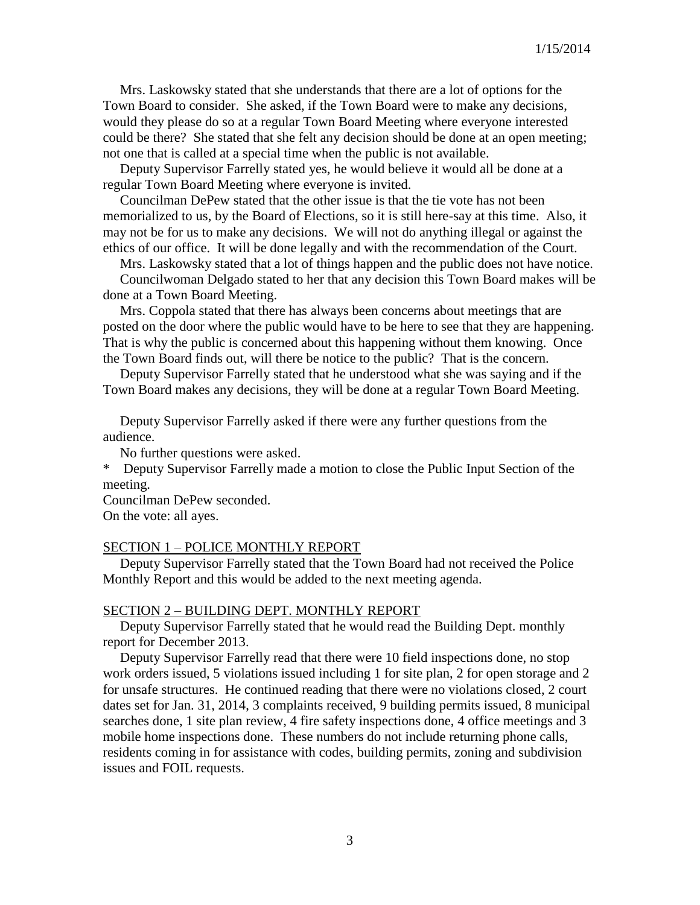Mrs. Laskowsky stated that she understands that there are a lot of options for the Town Board to consider. She asked, if the Town Board were to make any decisions, would they please do so at a regular Town Board Meeting where everyone interested could be there? She stated that she felt any decision should be done at an open meeting; not one that is called at a special time when the public is not available.

 Deputy Supervisor Farrelly stated yes, he would believe it would all be done at a regular Town Board Meeting where everyone is invited.

 Councilman DePew stated that the other issue is that the tie vote has not been memorialized to us, by the Board of Elections, so it is still here-say at this time. Also, it may not be for us to make any decisions. We will not do anything illegal or against the ethics of our office. It will be done legally and with the recommendation of the Court.

Mrs. Laskowsky stated that a lot of things happen and the public does not have notice.

 Councilwoman Delgado stated to her that any decision this Town Board makes will be done at a Town Board Meeting.

 Mrs. Coppola stated that there has always been concerns about meetings that are posted on the door where the public would have to be here to see that they are happening. That is why the public is concerned about this happening without them knowing. Once the Town Board finds out, will there be notice to the public? That is the concern.

 Deputy Supervisor Farrelly stated that he understood what she was saying and if the Town Board makes any decisions, they will be done at a regular Town Board Meeting.

 Deputy Supervisor Farrelly asked if there were any further questions from the audience.

No further questions were asked.

\* Deputy Supervisor Farrelly made a motion to close the Public Input Section of the meeting.

Councilman DePew seconded.

On the vote: all ayes.

### SECTION 1 – POLICE MONTHLY REPORT

 Deputy Supervisor Farrelly stated that the Town Board had not received the Police Monthly Report and this would be added to the next meeting agenda.

### SECTION 2 – BUILDING DEPT. MONTHLY REPORT

 Deputy Supervisor Farrelly stated that he would read the Building Dept. monthly report for December 2013.

 Deputy Supervisor Farrelly read that there were 10 field inspections done, no stop work orders issued, 5 violations issued including 1 for site plan, 2 for open storage and 2 for unsafe structures. He continued reading that there were no violations closed, 2 court dates set for Jan. 31, 2014, 3 complaints received, 9 building permits issued, 8 municipal searches done, 1 site plan review, 4 fire safety inspections done, 4 office meetings and 3 mobile home inspections done. These numbers do not include returning phone calls, residents coming in for assistance with codes, building permits, zoning and subdivision issues and FOIL requests.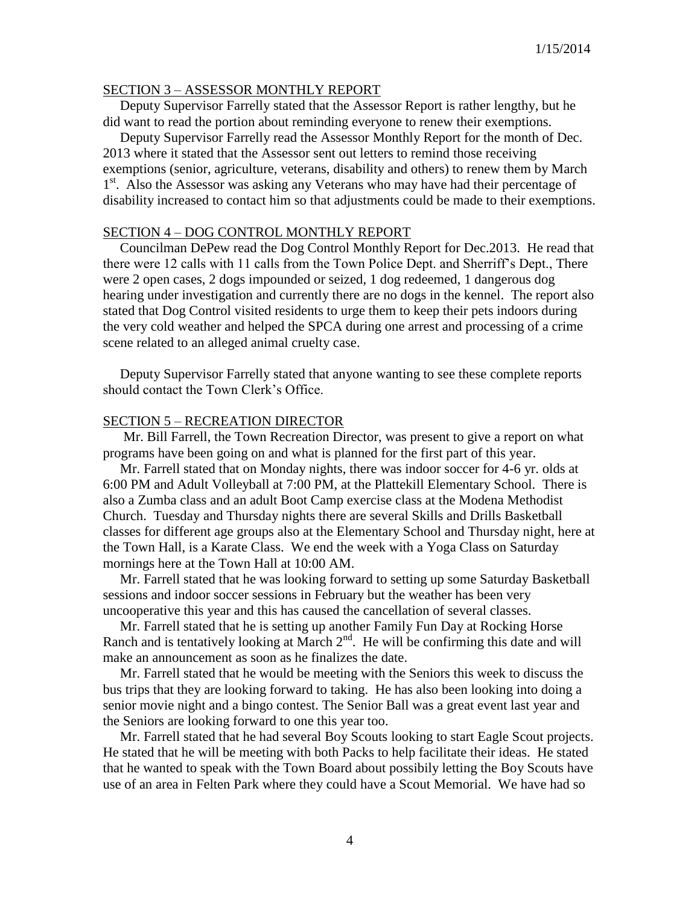### SECTION 3 – ASSESSOR MONTHLY REPORT

 Deputy Supervisor Farrelly stated that the Assessor Report is rather lengthy, but he did want to read the portion about reminding everyone to renew their exemptions.

 Deputy Supervisor Farrelly read the Assessor Monthly Report for the month of Dec. 2013 where it stated that the Assessor sent out letters to remind those receiving exemptions (senior, agriculture, veterans, disability and others) to renew them by March 1<sup>st</sup>. Also the Assessor was asking any Veterans who may have had their percentage of disability increased to contact him so that adjustments could be made to their exemptions.

## SECTION 4 – DOG CONTROL MONTHLY REPORT

 Councilman DePew read the Dog Control Monthly Report for Dec.2013. He read that there were 12 calls with 11 calls from the Town Police Dept. and Sherriff's Dept., There were 2 open cases, 2 dogs impounded or seized, 1 dog redeemed, 1 dangerous dog hearing under investigation and currently there are no dogs in the kennel. The report also stated that Dog Control visited residents to urge them to keep their pets indoors during the very cold weather and helped the SPCA during one arrest and processing of a crime scene related to an alleged animal cruelty case.

 Deputy Supervisor Farrelly stated that anyone wanting to see these complete reports should contact the Town Clerk's Office.

#### SECTION 5 – RECREATION DIRECTOR

 Mr. Bill Farrell, the Town Recreation Director, was present to give a report on what programs have been going on and what is planned for the first part of this year.

 Mr. Farrell stated that on Monday nights, there was indoor soccer for 4-6 yr. olds at 6:00 PM and Adult Volleyball at 7:00 PM, at the Plattekill Elementary School. There is also a Zumba class and an adult Boot Camp exercise class at the Modena Methodist Church. Tuesday and Thursday nights there are several Skills and Drills Basketball classes for different age groups also at the Elementary School and Thursday night, here at the Town Hall, is a Karate Class. We end the week with a Yoga Class on Saturday mornings here at the Town Hall at 10:00 AM.

 Mr. Farrell stated that he was looking forward to setting up some Saturday Basketball sessions and indoor soccer sessions in February but the weather has been very uncooperative this year and this has caused the cancellation of several classes.

 Mr. Farrell stated that he is setting up another Family Fun Day at Rocking Horse Ranch and is tentatively looking at March  $2<sup>nd</sup>$ . He will be confirming this date and will make an announcement as soon as he finalizes the date.

 Mr. Farrell stated that he would be meeting with the Seniors this week to discuss the bus trips that they are looking forward to taking. He has also been looking into doing a senior movie night and a bingo contest. The Senior Ball was a great event last year and the Seniors are looking forward to one this year too.

 Mr. Farrell stated that he had several Boy Scouts looking to start Eagle Scout projects. He stated that he will be meeting with both Packs to help facilitate their ideas. He stated that he wanted to speak with the Town Board about possibily letting the Boy Scouts have use of an area in Felten Park where they could have a Scout Memorial. We have had so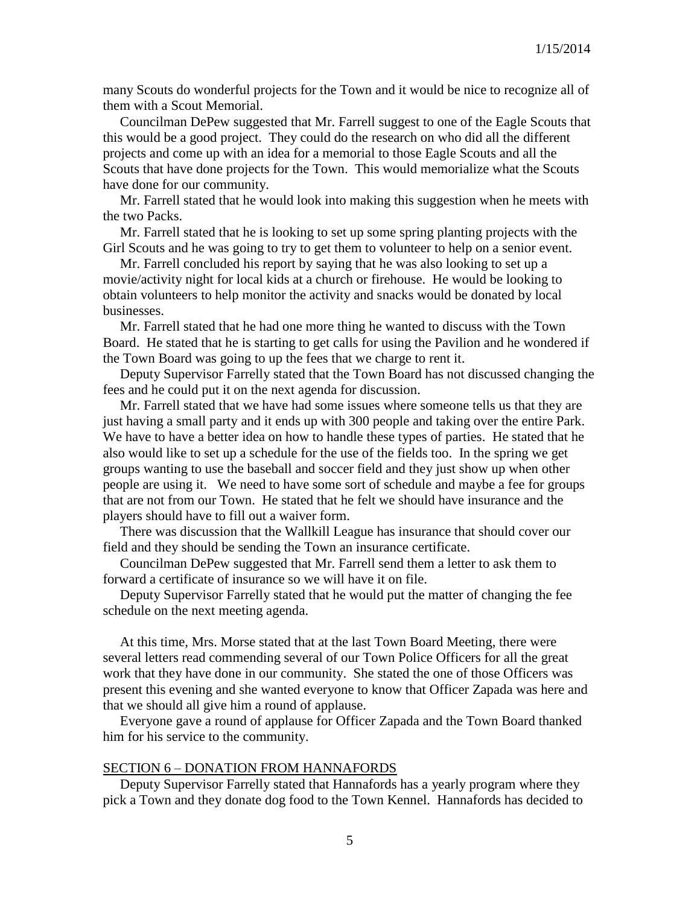many Scouts do wonderful projects for the Town and it would be nice to recognize all of them with a Scout Memorial.

 Councilman DePew suggested that Mr. Farrell suggest to one of the Eagle Scouts that this would be a good project. They could do the research on who did all the different projects and come up with an idea for a memorial to those Eagle Scouts and all the Scouts that have done projects for the Town. This would memorialize what the Scouts have done for our community.

 Mr. Farrell stated that he would look into making this suggestion when he meets with the two Packs.

 Mr. Farrell stated that he is looking to set up some spring planting projects with the Girl Scouts and he was going to try to get them to volunteer to help on a senior event.

 Mr. Farrell concluded his report by saying that he was also looking to set up a movie/activity night for local kids at a church or firehouse. He would be looking to obtain volunteers to help monitor the activity and snacks would be donated by local businesses.

 Mr. Farrell stated that he had one more thing he wanted to discuss with the Town Board. He stated that he is starting to get calls for using the Pavilion and he wondered if the Town Board was going to up the fees that we charge to rent it.

 Deputy Supervisor Farrelly stated that the Town Board has not discussed changing the fees and he could put it on the next agenda for discussion.

 Mr. Farrell stated that we have had some issues where someone tells us that they are just having a small party and it ends up with 300 people and taking over the entire Park. We have to have a better idea on how to handle these types of parties. He stated that he also would like to set up a schedule for the use of the fields too. In the spring we get groups wanting to use the baseball and soccer field and they just show up when other people are using it. We need to have some sort of schedule and maybe a fee for groups that are not from our Town. He stated that he felt we should have insurance and the players should have to fill out a waiver form.

 There was discussion that the Wallkill League has insurance that should cover our field and they should be sending the Town an insurance certificate.

 Councilman DePew suggested that Mr. Farrell send them a letter to ask them to forward a certificate of insurance so we will have it on file.

 Deputy Supervisor Farrelly stated that he would put the matter of changing the fee schedule on the next meeting agenda.

 At this time, Mrs. Morse stated that at the last Town Board Meeting, there were several letters read commending several of our Town Police Officers for all the great work that they have done in our community. She stated the one of those Officers was present this evening and she wanted everyone to know that Officer Zapada was here and that we should all give him a round of applause.

 Everyone gave a round of applause for Officer Zapada and the Town Board thanked him for his service to the community.

### SECTION 6 – DONATION FROM HANNAFORDS

 Deputy Supervisor Farrelly stated that Hannafords has a yearly program where they pick a Town and they donate dog food to the Town Kennel. Hannafords has decided to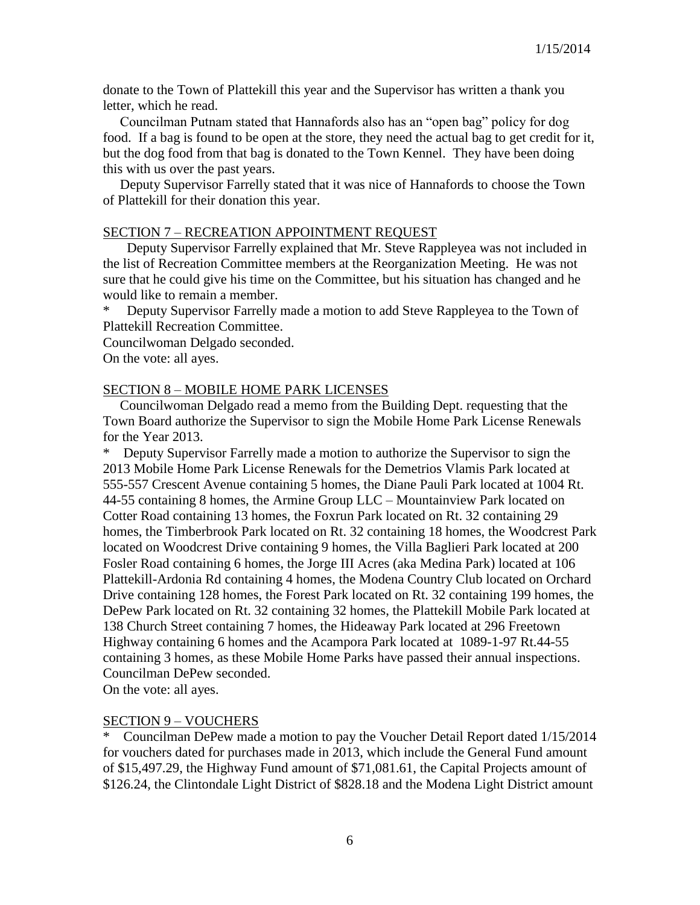donate to the Town of Plattekill this year and the Supervisor has written a thank you letter, which he read.

 Councilman Putnam stated that Hannafords also has an "open bag" policy for dog food. If a bag is found to be open at the store, they need the actual bag to get credit for it, but the dog food from that bag is donated to the Town Kennel. They have been doing this with us over the past years.

 Deputy Supervisor Farrelly stated that it was nice of Hannafords to choose the Town of Plattekill for their donation this year.

### SECTION 7 – RECREATION APPOINTMENT REQUEST

 Deputy Supervisor Farrelly explained that Mr. Steve Rappleyea was not included in the list of Recreation Committee members at the Reorganization Meeting. He was not sure that he could give his time on the Committee, but his situation has changed and he would like to remain a member.

Deputy Supervisor Farrelly made a motion to add Steve Rappleyea to the Town of Plattekill Recreation Committee.

Councilwoman Delgado seconded.

On the vote: all ayes.

#### SECTION 8 – MOBILE HOME PARK LICENSES

 Councilwoman Delgado read a memo from the Building Dept. requesting that the Town Board authorize the Supervisor to sign the Mobile Home Park License Renewals for the Year 2013.

Deputy Supervisor Farrelly made a motion to authorize the Supervisor to sign the 2013 Mobile Home Park License Renewals for the Demetrios Vlamis Park located at 555-557 Crescent Avenue containing 5 homes, the Diane Pauli Park located at 1004 Rt. 44-55 containing 8 homes, the Armine Group LLC – Mountainview Park located on Cotter Road containing 13 homes, the Foxrun Park located on Rt. 32 containing 29 homes, the Timberbrook Park located on Rt. 32 containing 18 homes, the Woodcrest Park located on Woodcrest Drive containing 9 homes, the Villa Baglieri Park located at 200 Fosler Road containing 6 homes, the Jorge III Acres (aka Medina Park) located at 106 Plattekill-Ardonia Rd containing 4 homes, the Modena Country Club located on Orchard Drive containing 128 homes, the Forest Park located on Rt. 32 containing 199 homes, the DePew Park located on Rt. 32 containing 32 homes, the Plattekill Mobile Park located at 138 Church Street containing 7 homes, the Hideaway Park located at 296 Freetown Highway containing 6 homes and the Acampora Park located at 1089-1-97 Rt.44-55 containing 3 homes, as these Mobile Home Parks have passed their annual inspections. Councilman DePew seconded.

On the vote: all ayes.

### SECTION 9 – VOUCHERS

\* Councilman DePew made a motion to pay the Voucher Detail Report dated 1/15/2014 for vouchers dated for purchases made in 2013, which include the General Fund amount of \$15,497.29, the Highway Fund amount of \$71,081.61, the Capital Projects amount of \$126.24, the Clintondale Light District of \$828.18 and the Modena Light District amount